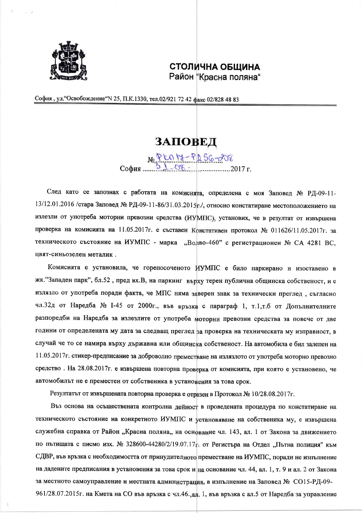

## **СТОЛИЧНА ОБЩИНА** Район "Красна поляна"

София, ул. "Освобождение "№ 25, П.К.1330, тел.02/921 72 42 факс 02/828 48 83

## ЗАПОВЕД

No P LO 18-PD 56-208 София.

След като се запознах с работата на комисията, определена с моя Заповед № РД-09-11-13/12.01.2016 /стара Заповед № РД-09-11-86/31.03.2015г./, относно констатиране местоположението на излезли от употреба моторни превозни средства (ИУМПС), установих, че в резултат от извършена проверка на комисията на 11.05.2017г. е съставен Констативен протокол № 011626/11.05.2017г. за техническото състояние на ИУМПС - марка "Волво-460" с регистрационен № СА 4281 ВС, цвят-синьозелен металик.

Комисията е установила, че горепосоченото ИУМПС е било паркирано и изоставено в жк."Западен парк", бл.52, пред вх.В, на паркинг върху терен публична общинска собственост, и е излязло от употреба поради факта, че МПС няма заверен знак за технически преглед, съгласно чл.32д от Наредба № 1-45 от 2000г., във връзка с параграф 1, т.1,т.б от Допълнителните разпоредби на Наредба за излезлите от употреба моторни превозни средства за повече от две години от определената му дата за следващ преглед за проверка на техническата му изправност, в случай че то се намира върху държавна или общинска собственост. На автомобила е бил залепен на 11.05.2017 г. стикер-предписание за доброволно преместване на излязлото от употреба моторно превозно средство. На 28.08.2017г. е извършена повторна проверка от комисията, при която е установено, че автомобилът не е преместен от собственика в установения за това срок.

Резултатът от извършената повторна проверка е отразен в Протокол № 10/28.08.2017г.

Въз основа на осъществената контролна дейност в проведената процедура по констатиране на техническото състояние на конкретното ИУМПС и установяване на собственика му, е извършена служебна справка от Район "Красна поляна" на основание чл. 143, ал. 1 от Закона за движението по пътищата с писмо изх. № 328600-44280/2/19.07.17г. от Регистъра на Отдел "Пътна полиция" към СДВР, във връзка с необходимостта от принудителното преместване на ИУМПС, поради не изпълнение на дадените предписания в установения за това срок и на основание чл. 44, ал. 1, т. 9 и ал. 2 от Закона за местното самоуправление и местната администрация, в изпълнение на Заповед № СО15-РД-09-961/28.07.2015г. на Кмета на СО във връзка с чл.46.,ал. 1, във връзка с ал.5 от Наредба за управление